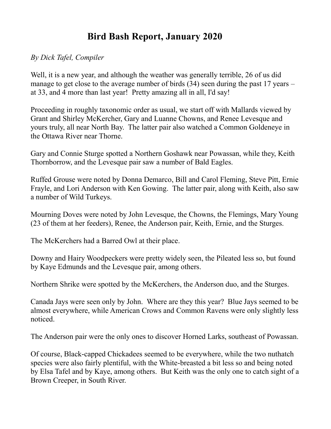## **Bird Bash Report, January 2020**

## *By Dick Tafel, Compiler*

Well, it is a new year, and although the weather was generally terrible, 26 of us did manage to get close to the average number of birds (34) seen during the past 17 years – at 33, and 4 more than last year! Pretty amazing all in all, I'd say!

Proceeding in roughly taxonomic order as usual, we start off with Mallards viewed by Grant and Shirley McKercher, Gary and Luanne Chowns, and Renee Levesque and yours truly, all near North Bay. The latter pair also watched a Common Goldeneye in the Ottawa River near Thorne.

Gary and Connie Sturge spotted a Northern Goshawk near Powassan, while they, Keith Thornborrow, and the Levesque pair saw a number of Bald Eagles.

Ruffed Grouse were noted by Donna Demarco, Bill and Carol Fleming, Steve Pitt, Ernie Frayle, and Lori Anderson with Ken Gowing. The latter pair, along with Keith, also saw a number of Wild Turkeys.

Mourning Doves were noted by John Levesque, the Chowns, the Flemings, Mary Young (23 of them at her feeders), Renee, the Anderson pair, Keith, Ernie, and the Sturges.

The McKerchers had a Barred Owl at their place.

Downy and Hairy Woodpeckers were pretty widely seen, the Pileated less so, but found by Kaye Edmunds and the Levesque pair, among others.

Northern Shrike were spotted by the McKerchers, the Anderson duo, and the Sturges.

Canada Jays were seen only by John. Where are they this year? Blue Jays seemed to be almost everywhere, while American Crows and Common Ravens were only slightly less noticed.

The Anderson pair were the only ones to discover Horned Larks, southeast of Powassan.

Of course, Black-capped Chickadees seemed to be everywhere, while the two nuthatch species were also fairly plentiful, with the White-breasted a bit less so and being noted by Elsa Tafel and by Kaye, among others. But Keith was the only one to catch sight of a Brown Creeper, in South River.